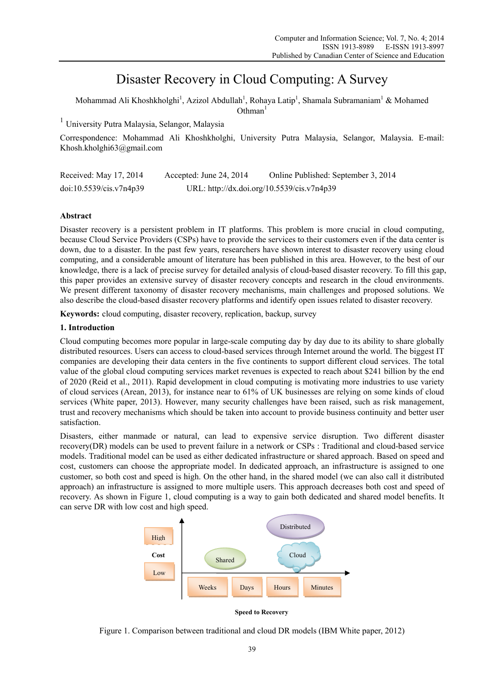# Disaster Recovery in Cloud Computing: A Survey

Mohammad Ali Khoshkholghi<sup>1</sup>, Azizol Abdullah<sup>1</sup>, Rohaya Latip<sup>1</sup>, Shamala Subramaniam<sup>1</sup> & Mohamed  $Othman<sup>1</sup>$ 

<sup>1</sup> University Putra Malaysia, Selangor, Malaysia

Correspondence: Mohammad Ali Khoshkholghi, University Putra Malaysia, Selangor, Malaysia. E-mail: Khosh.kholghi63@gmail.com

| Received: May 17, 2014  | Accepted: June 24, 2014 | Online Published: September 3, 2014        |
|-------------------------|-------------------------|--------------------------------------------|
| doi:10.5539/cis.v7n4p39 |                         | URL: http://dx.doi.org/10.5539/cis.v7n4p39 |

# **Abstract**

Disaster recovery is a persistent problem in IT platforms. This problem is more crucial in cloud computing, because Cloud Service Providers (CSPs) have to provide the services to their customers even if the data center is down, due to a disaster. In the past few years, researchers have shown interest to disaster recovery using cloud computing, and a considerable amount of literature has been published in this area. However, to the best of our knowledge, there is a lack of precise survey for detailed analysis of cloud-based disaster recovery. To fill this gap, this paper provides an extensive survey of disaster recovery concepts and research in the cloud environments. We present different taxonomy of disaster recovery mechanisms, main challenges and proposed solutions. We also describe the cloud-based disaster recovery platforms and identify open issues related to disaster recovery.

**Keywords:** cloud computing, disaster recovery, replication, backup, survey

# **1. Introduction**

Cloud computing becomes more popular in large-scale computing day by day due to its ability to share globally distributed resources. Users can access to cloud-based services through Internet around the world. The biggest IT companies are developing their data centers in the five continents to support different cloud services. The total value of the global cloud computing services market revenues is expected to reach about \$241 billion by the end of 2020 (Reid et al., 2011). Rapid development in cloud computing is motivating more industries to use variety of cloud services (Arean, 2013), for instance near to 61% of UK businesses are relying on some kinds of cloud services (White paper, 2013). However, many security challenges have been raised, such as risk management, trust and recovery mechanisms which should be taken into account to provide business continuity and better user satisfaction.

Disasters, either manmade or natural, can lead to expensive service disruption. Two different disaster recovery(DR) models can be used to prevent failure in a network or CSPs : Traditional and cloud-based service models. Traditional model can be used as either dedicated infrastructure or shared approach. Based on speed and cost, customers can choose the appropriate model. In dedicated approach, an infrastructure is assigned to one customer, so both cost and speed is high. On the other hand, in the shared model (we can also call it distributed approach) an infrastructure is assigned to more multiple users. This approach decreases both cost and speed of recovery. As shown in Figure 1, cloud computing is a way to gain both dedicated and shared model benefits. It can serve DR with low cost and high speed.



**Speed to Recovery**

Figure 1. Comparison between traditional and cloud DR models (IBM White paper, 2012)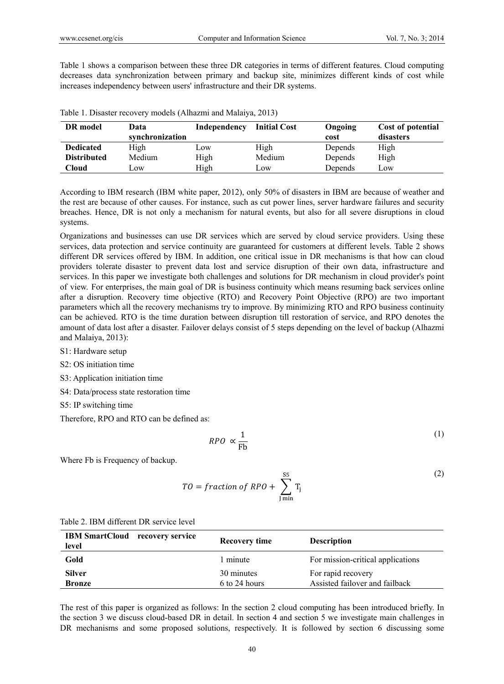Table 1 shows a comparison between these three DR categories in terms of different features. Cloud computing decreases data synchronization between primary and backup site, minimizes different kinds of cost while increases independency between users' infrastructure and their DR systems.

| DR model           | Data            | Independency | <b>Initial Cost</b> | Ongoing | Cost of potential |
|--------------------|-----------------|--------------|---------------------|---------|-------------------|
|                    | synchronization |              |                     | cost    | disasters         |
| <b>Dedicated</b>   | High            | Low          | High                | Depends | High              |
| <b>Distributed</b> | Medium          | High         | Medium              | Depends | High              |
| Cloud              | LOW             | High         | Low                 | Depends | Low               |

|  |  | Table 1. Disaster recovery models (Alhazmi and Malaiya, 2013) |  |
|--|--|---------------------------------------------------------------|--|
|  |  |                                                               |  |

According to IBM research (IBM white paper, 2012), only 50% of disasters in IBM are because of weather and the rest are because of other causes. For instance, such as cut power lines, server hardware failures and security breaches. Hence, DR is not only a mechanism for natural events, but also for all severe disruptions in cloud systems.

Organizations and businesses can use DR services which are served by cloud service providers. Using these services, data protection and service continuity are guaranteed for customers at different levels. Table 2 shows different DR services offered by IBM. In addition, one critical issue in DR mechanisms is that how can cloud providers tolerate disaster to prevent data lost and service disruption of their own data, infrastructure and services. In this paper we investigate both challenges and solutions for DR mechanism in cloud provider's point of view. For enterprises, the main goal of DR is business continuity which means resuming back services online after a disruption. Recovery time objective (RTO) and Recovery Point Objective (RPO) are two important parameters which all the recovery mechanisms try to improve. By minimizing RTO and RPO business continuity can be achieved. RTO is the time duration between disruption till restoration of service, and RPO denotes the amount of data lost after a disaster. Failover delays consist of 5 steps depending on the level of backup (Alhazmi and Malaiya, 2013):

- S1: Hardware setup
- S2: OS initiation time
- S3: Application initiation time

S4: Data/process state restoration time

S5: IP switching time

Therefore, RPO and RTO can be defined as:

$$
RPO \propto \frac{1}{Fb} \tag{1}
$$

Where Fb is Frequency of backup.

$$
TO = fraction of RPO + \sum_{j \text{ min}}^{SS} T_j
$$
 (2)

|  |  | Table 2. IBM different DR service level |
|--|--|-----------------------------------------|
|--|--|-----------------------------------------|

| <b>IBM SmartCloud</b> recovery service<br>level | <b>Recovery time</b> | <b>Description</b>                |
|-------------------------------------------------|----------------------|-----------------------------------|
| Gold                                            | 1 minute             | For mission-critical applications |
| <b>Silver</b>                                   | 30 minutes           | For rapid recovery                |
| <b>Bronze</b>                                   | 6 to 24 hours        | Assisted failover and failback    |

The rest of this paper is organized as follows: In the section 2 cloud computing has been introduced briefly. In the section 3 we discuss cloud-based DR in detail. In section 4 and section 5 we investigate main challenges in DR mechanisms and some proposed solutions, respectively. It is followed by section 6 discussing some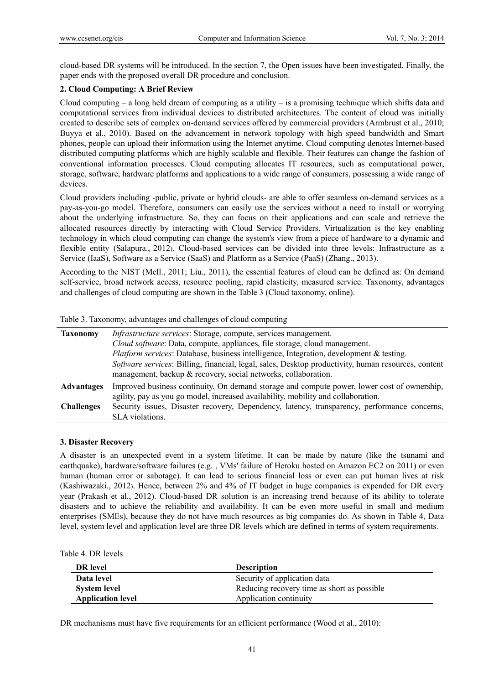cloud-based DR systems will be introduced. In the section 7, the Open issues have been investigated. Finally, the paper ends with the proposed overall DR procedure and conclusion.

# **2. Cloud Computing: A Brief Review**

Cloud computing – a long held dream of computing as a utility – is a promising technique which shifts data and computational services from individual devices to distributed architectures. The content of cloud was initially created to describe sets of complex on-demand services offered by commercial providers (Armbrust et al., 2010; Buyya et al., 2010). Based on the advancement in network topology with high speed bandwidth and Smart phones, people can upload their information using the Internet anytime. Cloud computing denotes Internet-based distributed computing platforms which are highly scalable and flexible. Their features can change the fashion of conventional information processes. Cloud computing allocates IT resources, such as computational power, storage, software, hardware platforms and applications to a wide range of consumers, possessing a wide range of devices.

Cloud providers including -public, private or hybrid clouds- are able to offer seamless on-demand services as a pay-as-you-go model. Therefore, consumers can easily use the services without a need to install or worrying about the underlying infrastructure. So, they can focus on their applications and can scale and retrieve the allocated resources directly by interacting with Cloud Service Providers. Virtualization is the key enabling technology in which cloud computing can change the system's view from a piece of hardware to a dynamic and flexible entity (Salapura., 2012). Cloud-based services can be divided into three levels: Infrastructure as a Service (IaaS), Software as a Service (SaaS) and Platform as a Service (PaaS) (Zhang., 2013).

According to the NIST (Mell., 2011; Liu., 2011), the essential features of cloud can be defined as: On demand self-service, broad network access, resource pooling, rapid elasticity, measured service. Taxonomy, advantages and challenges of cloud computing are shown in the Table 3 (Cloud taxonomy, online).

| <b>Taxonomy</b>   | Infrastructure services: Storage, compute, services management.                                     |
|-------------------|-----------------------------------------------------------------------------------------------------|
|                   | Cloud software: Data, compute, appliances, file storage, cloud management.                          |
|                   | <i>Platform services:</i> Database, business intelligence, Integration, development & testing.      |
|                   | Software services: Billing, financial, legal, sales, Desktop productivity, human resources, content |
|                   | management, backup & recovery, social networks, collaboration.                                      |
| <b>Advantages</b> | Improved business continuity, On demand storage and compute power, lower cost of ownership,         |
|                   | agility, pay as you go model, increased availability, mobility and collaboration.                   |
| <b>Challenges</b> | Security issues, Disaster recovery, Dependency, latency, transparency, performance concerns,        |
|                   | SLA violations.                                                                                     |

#### Table 3. Taxonomy, advantages and challenges of cloud computing

#### **3. Disaster Recovery**

A disaster is an unexpected event in a system lifetime. It can be made by nature (like the tsunami and earthquake), hardware/software failures (e.g. , VMs' failure of Heroku hosted on Amazon EC2 on 2011) or even human (human error or sabotage). It can lead to serious financial loss or even can put human lives at risk (Kashiwazaki., 2012). Hence, between 2% and 4% of IT budget in huge companies is expended for DR every year (Prakash et al., 2012). Cloud-based DR solution is an increasing trend because of its ability to tolerate disasters and to achieve the reliability and availability. It can be even more useful in small and medium enterprises (SMEs), because they do not have much resources as big companies do. As shown in Table 4, Data level, system level and application level are three DR levels which are defined in terms of system requirements.

| <b>DR</b> level          | <b>Description</b>                          |
|--------------------------|---------------------------------------------|
| Data level               | Security of application data                |
| <b>System level</b>      | Reducing recovery time as short as possible |
| <b>Application level</b> | Application continuity                      |

DR mechanisms must have five requirements for an efficient performance (Wood et al., 2010):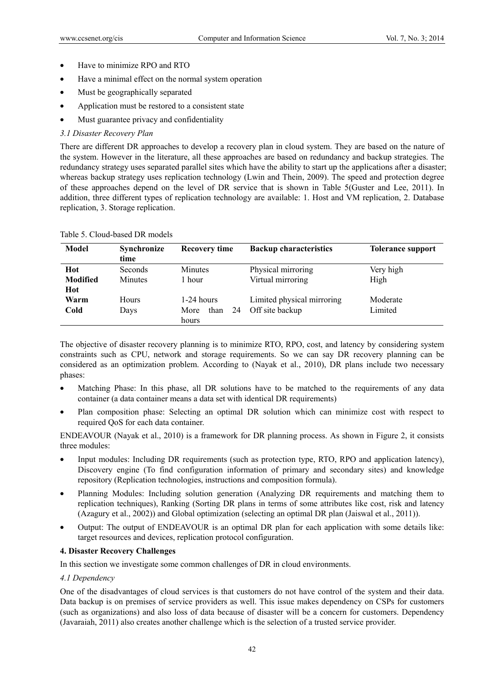- Have to minimize RPO and RTO
- Have a minimal effect on the normal system operation
- Must be geographically separated
- Application must be restored to a consistent state
- Must guarantee privacy and confidentiality

#### *3.1 Disaster Recovery Plan*

There are different DR approaches to develop a recovery plan in cloud system. They are based on the nature of the system. However in the literature, all these approaches are based on redundancy and backup strategies. The redundancy strategy uses separated parallel sites which have the ability to start up the applications after a disaster; whereas backup strategy uses replication technology (Lwin and Thein, 2009). The speed and protection degree of these approaches depend on the level of DR service that is shown in Table 5(Guster and Lee, 2011). In addition, three different types of replication technology are available: 1. Host and VM replication, 2. Database replication, 3. Storage replication.

| Model               | Synchronize<br>time | <b>Recovery time</b>               | <b>Backup characteristics</b>                 | <b>Tolerance support</b> |  |
|---------------------|---------------------|------------------------------------|-----------------------------------------------|--------------------------|--|
| Hot<br>Modified     | Seconds<br>Minutes  | Minutes<br>1 hour                  | Physical mirroring<br>Virtual mirroring       | Very high<br>High        |  |
| Hot<br>Warm<br>Cold | Hours<br>Days       | $1-24$ hours<br>24<br>than<br>More | Limited physical mirroring<br>Off site backup | Moderate<br>Limited      |  |
|                     |                     | hours                              |                                               |                          |  |

#### Table 5. Cloud-based DR models

The objective of disaster recovery planning is to minimize RTO, RPO, cost, and latency by considering system constraints such as CPU, network and storage requirements. So we can say DR recovery planning can be considered as an optimization problem. According to (Nayak et al., 2010), DR plans include two necessary phases:

- Matching Phase: In this phase, all DR solutions have to be matched to the requirements of any data container (a data container means a data set with identical DR requirements)
- Plan composition phase: Selecting an optimal DR solution which can minimize cost with respect to required QoS for each data container.

ENDEAVOUR (Nayak et al., 2010) is a framework for DR planning process. As shown in Figure 2, it consists three modules:

- Input modules: Including DR requirements (such as protection type, RTO, RPO and application latency), Discovery engine (To find configuration information of primary and secondary sites) and knowledge repository (Replication technologies, instructions and composition formula).
- Planning Modules: Including solution generation (Analyzing DR requirements and matching them to replication techniques), Ranking (Sorting DR plans in terms of some attributes like cost, risk and latency (Azagury et al., 2002)) and Global optimization (selecting an optimal DR plan (Jaiswal et al., 2011)).
- Output: The output of ENDEAVOUR is an optimal DR plan for each application with some details like: target resources and devices, replication protocol configuration.

#### **4. Disaster Recovery Challenges**

In this section we investigate some common challenges of DR in cloud environments.

#### *4.1 Dependency*

One of the disadvantages of cloud services is that customers do not have control of the system and their data. Data backup is on premises of service providers as well. This issue makes dependency on CSPs for customers (such as organizations) and also loss of data because of disaster will be a concern for customers. Dependency (Javaraiah, 2011) also creates another challenge which is the selection of a trusted service provider.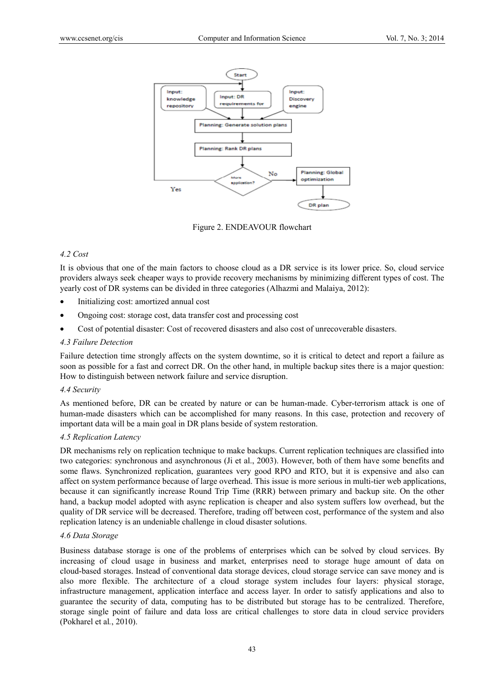

Figure 2. ENDEAVOUR flowchart

#### *4.2 Cost*

It is obvious that one of the main factors to choose cloud as a DR service is its lower price. So, cloud service providers always seek cheaper ways to provide recovery mechanisms by minimizing different types of cost. The yearly cost of DR systems can be divided in three categories (Alhazmi and Malaiya, 2012):

- Initializing cost: amortized annual cost
- Ongoing cost: storage cost, data transfer cost and processing cost
- Cost of potential disaster: Cost of recovered disasters and also cost of unrecoverable disasters.

#### *4.3 Failure Detection*

Failure detection time strongly affects on the system downtime, so it is critical to detect and report a failure as soon as possible for a fast and correct DR. On the other hand, in multiple backup sites there is a major question: How to distinguish between network failure and service disruption.

#### *4.4 Security*

As mentioned before, DR can be created by nature or can be human-made. Cyber-terrorism attack is one of human-made disasters which can be accomplished for many reasons. In this case, protection and recovery of important data will be a main goal in DR plans beside of system restoration.

#### *4.5 Replication Latency*

DR mechanisms rely on replication technique to make backups. Current replication techniques are classified into two categories: synchronous and asynchronous (Ji et al., 2003). However, both of them have some benefits and some flaws. Synchronized replication, guarantees very good RPO and RTO, but it is expensive and also can affect on system performance because of large overhead. This issue is more serious in multi-tier web applications, because it can significantly increase Round Trip Time (RRR) between primary and backup site. On the other hand, a backup model adopted with async replication is cheaper and also system suffers low overhead, but the quality of DR service will be decreased. Therefore, trading off between cost, performance of the system and also replication latency is an undeniable challenge in cloud disaster solutions.

#### *4.6 Data Storage*

Business database storage is one of the problems of enterprises which can be solved by cloud services. By increasing of cloud usage in business and market, enterprises need to storage huge amount of data on cloud-based storages. Instead of conventional data storage devices, cloud storage service can save money and is also more flexible. The architecture of a cloud storage system includes four layers: physical storage, infrastructure management, application interface and access layer. In order to satisfy applications and also to guarantee the security of data, computing has to be distributed but storage has to be centralized. Therefore, storage single point of failure and data loss are critical challenges to store data in cloud service providers (Pokharel et al*.*, 2010).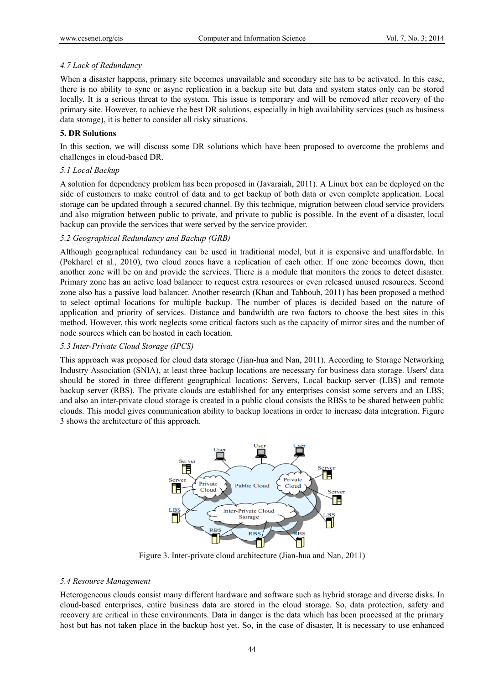# *4.7 Lack of Redundancy*

When a disaster happens, primary site becomes unavailable and secondary site has to be activated. In this case, there is no ability to sync or async replication in a backup site but data and system states only can be stored locally. It is a serious threat to the system. This issue is temporary and will be removed after recovery of the primary site. However, to achieve the best DR solutions, especially in high availability services (such as business data storage), it is better to consider all risky situations.

# **5. DR Solutions**

In this section, we will discuss some DR solutions which have been proposed to overcome the problems and challenges in cloud-based DR.

# *5.1 Local Backup*

A solution for dependency problem has been proposed in (Javaraiah, 2011). A Linux box can be deployed on the side of customers to make control of data and to get backup of both data or even complete application. Local storage can be updated through a secured channel. By this technique, migration between cloud service providers and also migration between public to private, and private to public is possible. In the event of a disaster, local backup can provide the services that were served by the service provider.

# *5.2 Geographical Redundancy and Backup (GRB)*

Although geographical redundancy can be used in traditional model, but it is expensive and unaffordable. In (Pokharel et al*.*, 2010), two cloud zones have a replication of each other. If one zone becomes down, then another zone will be on and provide the services. There is a module that monitors the zones to detect disaster. Primary zone has an active load balancer to request extra resources or even released unused resources. Second zone also has a passive load balancer. Another research (Khan and Tahboub, 2011) has been proposed a method to select optimal locations for multiple backup. The number of places is decided based on the nature of application and priority of services. Distance and bandwidth are two factors to choose the best sites in this method. However, this work neglects some critical factors such as the capacity of mirror sites and the number of node sources which can be hosted in each location.

### *5.3 Inter-Private Cloud Storage (IPCS)*

This approach was proposed for cloud data storage (Jian-hua and Nan, 2011). According to Storage Networking Industry Association (SNIA), at least three backup locations are necessary for business data storage. Users' data should be stored in three different geographical locations: Servers, Local backup server (LBS) and remote backup server (RBS). The private clouds are established for any enterprises consist some servers and an LBS; and also an inter-private cloud storage is created in a public cloud consists the RBSs to be shared between public clouds. This model gives communication ability to backup locations in order to increase data integration. Figure 3 shows the architecture of this approach.



Figure 3. Inter-private cloud architecture (Jian-hua and Nan, 2011)

#### *5.4 Resource Management*

Heterogeneous clouds consist many different hardware and software such as hybrid storage and diverse disks. In cloud-based enterprises, entire business data are stored in the cloud storage. So, data protection, safety and recovery are critical in these environments. Data in danger is the data which has been processed at the primary host but has not taken place in the backup host yet. So, in the case of disaster, It is necessary to use enhanced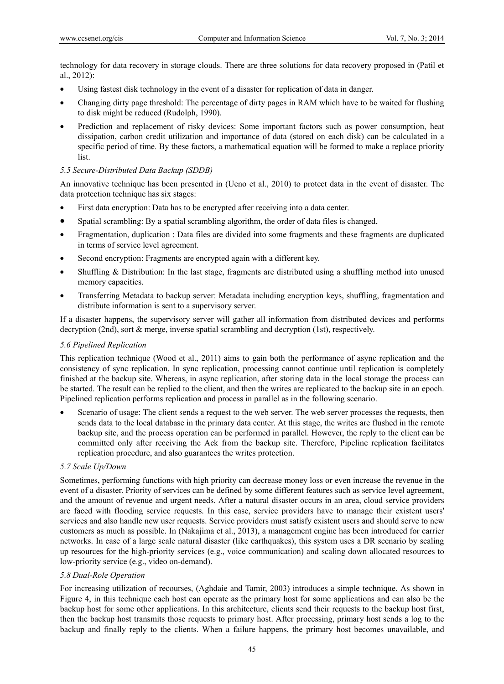technology for data recovery in storage clouds. There are three solutions for data recovery proposed in (Patil et al., 2012):

- Using fastest disk technology in the event of a disaster for replication of data in danger.
- Changing dirty page threshold: The percentage of dirty pages in RAM which have to be waited for flushing to disk might be reduced (Rudolph, 1990).
- Prediction and replacement of risky devices: Some important factors such as power consumption, heat dissipation, carbon credit utilization and importance of data (stored on each disk) can be calculated in a specific period of time. By these factors, a mathematical equation will be formed to make a replace priority list.

# *5.5 Secure-Distributed Data Backup (SDDB)*

An innovative technique has been presented in (Ueno et al., 2010) to protect data in the event of disaster. The data protection technique has six stages:

- First data encryption: Data has to be encrypted after receiving into a data center.
- Spatial scrambling: By a spatial scrambling algorithm, the order of data files is changed.
- Fragmentation, duplication : Data files are divided into some fragments and these fragments are duplicated in terms of service level agreement.
- Second encryption: Fragments are encrypted again with a different key.
- Shuffling & Distribution: In the last stage, fragments are distributed using a shuffling method into unused memory capacities.
- Transferring Metadata to backup server: Metadata including encryption keys, shuffling, fragmentation and distribute information is sent to a supervisory server.

If a disaster happens, the supervisory server will gather all information from distributed devices and performs decryption (2nd), sort & merge, inverse spatial scrambling and decryption (1st), respectively.

### *5.6 Pipelined Replication*

This replication technique (Wood et al., 2011) aims to gain both the performance of async replication and the consistency of sync replication. In sync replication, processing cannot continue until replication is completely finished at the backup site. Whereas, in async replication, after storing data in the local storage the process can be started. The result can be replied to the client, and then the writes are replicated to the backup site in an epoch. Pipelined replication performs replication and process in parallel as in the following scenario.

 Scenario of usage: The client sends a request to the web server. The web server processes the requests, then sends data to the local database in the primary data center. At this stage, the writes are flushed in the remote backup site, and the process operation can be performed in parallel. However, the reply to the client can be committed only after receiving the Ack from the backup site. Therefore, Pipeline replication facilitates replication procedure, and also guarantees the writes protection.

#### *5.7 Scale Up/Down*

Sometimes, performing functions with high priority can decrease money loss or even increase the revenue in the event of a disaster. Priority of services can be defined by some different features such as service level agreement, and the amount of revenue and urgent needs. After a natural disaster occurs in an area, cloud service providers are faced with flooding service requests. In this case, service providers have to manage their existent users' services and also handle new user requests. Service providers must satisfy existent users and should serve to new customers as much as possible. In (Nakajima et al., 2013), a management engine has been introduced for carrier networks. In case of a large scale natural disaster (like earthquakes), this system uses a DR scenario by scaling up resources for the high-priority services (e.g., voice communication) and scaling down allocated resources to low-priority service (e.g., video on-demand).

#### *5.8 Dual-Role Operation*

For increasing utilization of recourses, (Aghdaie and Tamir, 2003) introduces a simple technique. As shown in Figure 4, in this technique each host can operate as the primary host for some applications and can also be the backup host for some other applications. In this architecture, clients send their requests to the backup host first, then the backup host transmits those requests to primary host. After processing, primary host sends a log to the backup and finally reply to the clients. When a failure happens, the primary host becomes unavailable, and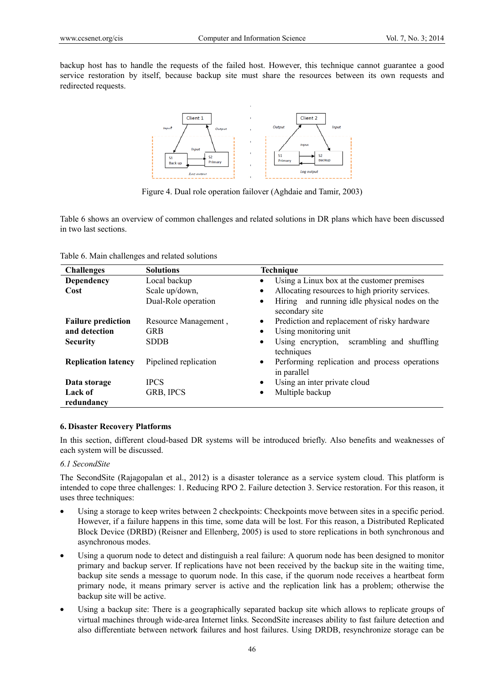backup host has to handle the requests of the failed host. However, this technique cannot guarantee a good service restoration by itself, because backup site must share the resources between its own requests and redirected requests.



Figure 4. Dual role operation failover (Aghdaie and Tamir, 2003)

Table 6 shows an overview of common challenges and related solutions in DR plans which have been discussed in two last sections.

| <b>Challenges</b>          | <b>Solutions</b>      | <b>Technique</b>                                                             |
|----------------------------|-----------------------|------------------------------------------------------------------------------|
| <b>Dependency</b>          | Local backup          | Using a Linux box at the customer premises<br>$\bullet$                      |
| Cost                       | Scale up/down,        | Allocating resources to high priority services.<br>$\bullet$                 |
|                            | Dual-Role operation   | Hiring and running idle physical nodes on the<br>$\bullet$<br>secondary site |
| <b>Failure prediction</b>  | Resource Management,  | Prediction and replacement of risky hardware<br>$\bullet$                    |
| and detection              | <b>GRB</b>            | Using monitoring unit<br>$\bullet$                                           |
| <b>Security</b>            | <b>SDDB</b>           | Using encryption, scrambling and shuffling<br>$\bullet$<br>techniques        |
| <b>Replication latency</b> | Pipelined replication | Performing replication and process operations<br>$\bullet$<br>in parallel    |
| Data storage               | <b>IPCS</b>           | Using an inter private cloud<br>$\bullet$                                    |
| Lack of                    | GRB, IPCS             | Multiple backup<br>٠                                                         |
| redundancy                 |                       |                                                                              |

#### **6. Disaster Recovery Platforms**

In this section, different cloud-based DR systems will be introduced briefly. Also benefits and weaknesses of each system will be discussed.

#### *6.1 SecondSite*

The SecondSite (Rajagopalan et al., 2012) is a disaster tolerance as a service system cloud. This platform is intended to cope three challenges: 1. Reducing RPO 2. Failure detection 3. Service restoration. For this reason, it uses three techniques:

- Using a storage to keep writes between 2 checkpoints: Checkpoints move between sites in a specific period. However, if a failure happens in this time, some data will be lost. For this reason, a Distributed Replicated Block Device (DRBD) (Reisner and Ellenberg, 2005) is used to store replications in both synchronous and asynchronous modes.
- Using a quorum node to detect and distinguish a real failure: A quorum node has been designed to monitor primary and backup server. If replications have not been received by the backup site in the waiting time, backup site sends a message to quorum node. In this case, if the quorum node receives a heartbeat form primary node, it means primary server is active and the replication link has a problem; otherwise the backup site will be active.
- Using a backup site: There is a geographically separated backup site which allows to replicate groups of virtual machines through wide-area Internet links. SecondSite increases ability to fast failure detection and also differentiate between network failures and host failures. Using DRDB, resynchronize storage can be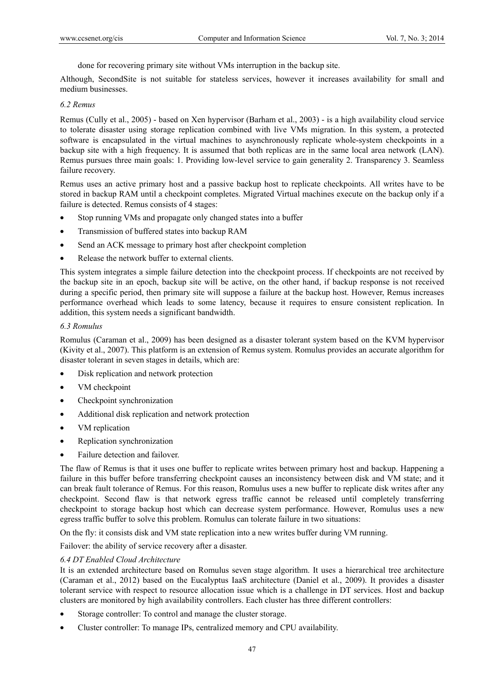done for recovering primary site without VMs interruption in the backup site.

Although, SecondSite is not suitable for stateless services, however it increases availability for small and medium businesses.

#### *6.2 Remus*

Remus (Cully et al., 2005) - based on Xen hypervisor (Barham et al., 2003) - is a high availability cloud service to tolerate disaster using storage replication combined with live VMs migration. In this system, a protected software is encapsulated in the virtual machines to asynchronously replicate whole-system checkpoints in a backup site with a high frequency. It is assumed that both replicas are in the same local area network (LAN). Remus pursues three main goals: 1. Providing low-level service to gain generality 2. Transparency 3. Seamless failure recovery.

Remus uses an active primary host and a passive backup host to replicate checkpoints. All writes have to be stored in backup RAM until a checkpoint completes. Migrated Virtual machines execute on the backup only if a failure is detected. Remus consists of 4 stages:

- Stop running VMs and propagate only changed states into a buffer
- Transmission of buffered states into backup RAM
- Send an ACK message to primary host after checkpoint completion
- Release the network buffer to external clients.

This system integrates a simple failure detection into the checkpoint process. If checkpoints are not received by the backup site in an epoch, backup site will be active, on the other hand, if backup response is not received during a specific period, then primary site will suppose a failure at the backup host. However, Remus increases performance overhead which leads to some latency, because it requires to ensure consistent replication. In addition, this system needs a significant bandwidth.

#### *6.3 Romulus*

Romulus (Caraman et al., 2009) has been designed as a disaster tolerant system based on the KVM hypervisor (Kivity et al., 2007). This platform is an extension of Remus system. Romulus provides an accurate algorithm for disaster tolerant in seven stages in details, which are:

- Disk replication and network protection
- VM checkpoint
- Checkpoint synchronization
- Additional disk replication and network protection
- VM replication
- Replication synchronization
- Failure detection and failover.

The flaw of Remus is that it uses one buffer to replicate writes between primary host and backup. Happening a failure in this buffer before transferring checkpoint causes an inconsistency between disk and VM state; and it can break fault tolerance of Remus. For this reason, Romulus uses a new buffer to replicate disk writes after any checkpoint. Second flaw is that network egress traffic cannot be released until completely transferring checkpoint to storage backup host which can decrease system performance. However, Romulus uses a new egress traffic buffer to solve this problem. Romulus can tolerate failure in two situations:

On the fly: it consists disk and VM state replication into a new writes buffer during VM running.

Failover: the ability of service recovery after a disaster.

#### *6.4 DT Enabled Cloud Architecture*

It is an extended architecture based on Romulus seven stage algorithm. It uses a hierarchical tree architecture (Caraman et al., 2012) based on the Eucalyptus IaaS architecture (Daniel et al., 2009). It provides a disaster tolerant service with respect to resource allocation issue which is a challenge in DT services. Host and backup clusters are monitored by high availability controllers. Each cluster has three different controllers:

- Storage controller: To control and manage the cluster storage.
- Cluster controller: To manage IPs, centralized memory and CPU availability.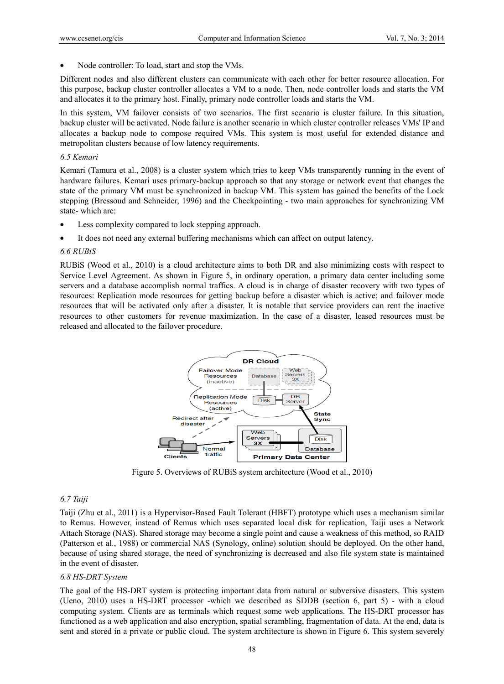Node controller: To load, start and stop the VMs.

Different nodes and also different clusters can communicate with each other for better resource allocation. For this purpose, backup cluster controller allocates a VM to a node. Then, node controller loads and starts the VM and allocates it to the primary host. Finally, primary node controller loads and starts the VM.

In this system, VM failover consists of two scenarios. The first scenario is cluster failure. In this situation, backup cluster will be activated. Node failure is another scenario in which cluster controller releases VMs' IP and allocates a backup node to compose required VMs. This system is most useful for extended distance and metropolitan clusters because of low latency requirements.

#### *6.5 Kemari*

Kemari (Tamura et al., 2008) is a cluster system which tries to keep VMs transparently running in the event of hardware failures. Kemari uses primary-backup approach so that any storage or network event that changes the state of the primary VM must be synchronized in backup VM. This system has gained the benefits of the Lock stepping (Bressoud and Schneider, 1996) and the Checkpointing - two main approaches for synchronizing VM state- which are:

- Less complexity compared to lock stepping approach.
- It does not need any external buffering mechanisms which can affect on output latency.

# *6.6 RUBiS*

RUBiS (Wood et al., 2010) is a cloud architecture aims to both DR and also minimizing costs with respect to Service Level Agreement. As shown in Figure 5, in ordinary operation, a primary data center including some servers and a database accomplish normal traffics. A cloud is in charge of disaster recovery with two types of resources: Replication mode resources for getting backup before a disaster which is active; and failover mode resources that will be activated only after a disaster. It is notable that service providers can rent the inactive resources to other customers for revenue maximization. In the case of a disaster, leased resources must be released and allocated to the failover procedure.



Figure 5. Overviews of RUBiS system architecture (Wood et al., 2010)

#### *6.7 Taiji*

Taiji (Zhu et al., 2011) is a Hypervisor-Based Fault Tolerant (HBFT) prototype which uses a mechanism similar to Remus. However, instead of Remus which uses separated local disk for replication, Taiji uses a Network Attach Storage (NAS). Shared storage may become a single point and cause a weakness of this method, so RAID (Patterson et al., 1988) or commercial NAS (Synology, online) solution should be deployed. On the other hand, because of using shared storage, the need of synchronizing is decreased and also file system state is maintained in the event of disaster.

#### *6.8 HS-DRT System*

The goal of the HS-DRT system is protecting important data from natural or subversive disasters. This system (Ueno, 2010) uses a HS-DRT processor -which we described as SDDB (section 6, part 5) - with a cloud computing system. Clients are as terminals which request some web applications. The HS-DRT processor has functioned as a web application and also encryption, spatial scrambling, fragmentation of data. At the end, data is sent and stored in a private or public cloud. The system architecture is shown in Figure 6. This system severely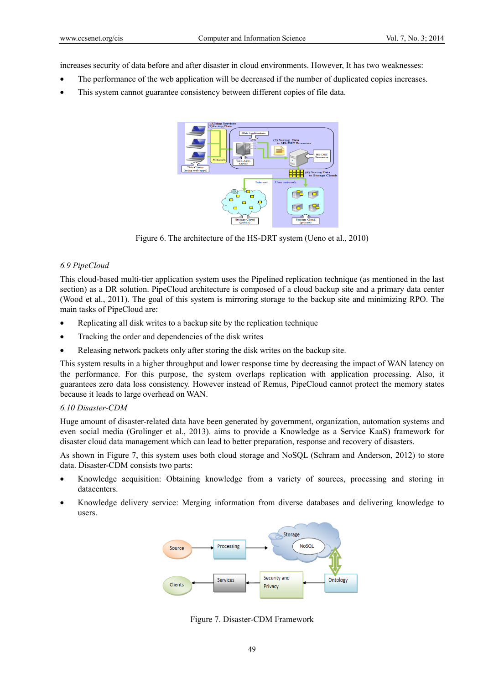increases security of data before and after disaster in cloud environments. However, It has two weaknesses:

- The performance of the web application will be decreased if the number of duplicated copies increases.
- This system cannot guarantee consistency between different copies of file data.



Figure 6. The architecture of the HS-DRT system (Ueno et al., 2010)

# *6.9 PipeCloud*

This cloud-based multi-tier application system uses the Pipelined replication technique (as mentioned in the last section) as a DR solution. PipeCloud architecture is composed of a cloud backup site and a primary data center (Wood et al., 2011). The goal of this system is mirroring storage to the backup site and minimizing RPO. The main tasks of PipeCloud are:

- Replicating all disk writes to a backup site by the replication technique
- Tracking the order and dependencies of the disk writes
- Releasing network packets only after storing the disk writes on the backup site.

This system results in a higher throughput and lower response time by decreasing the impact of WAN latency on the performance. For this purpose, the system overlaps replication with application processing. Also, it guarantees zero data loss consistency. However instead of Remus, PipeCloud cannot protect the memory states because it leads to large overhead on WAN.

### *6.10 Disaster-CDM*

Huge amount of disaster-related data have been generated by government, organization, automation systems and even social media (Grolinger et al., 2013). aims to provide a Knowledge as a Service KaaS) framework for disaster cloud data management which can lead to better preparation, response and recovery of disasters.

As shown in Figure 7, this system uses both cloud storage and NoSQL (Schram and Anderson, 2012) to store data. Disaster-CDM consists two parts:

- Knowledge acquisition: Obtaining knowledge from a variety of sources, processing and storing in datacenters.
- Knowledge delivery service: Merging information from diverse databases and delivering knowledge to users.



Figure 7. Disaster-CDM Framework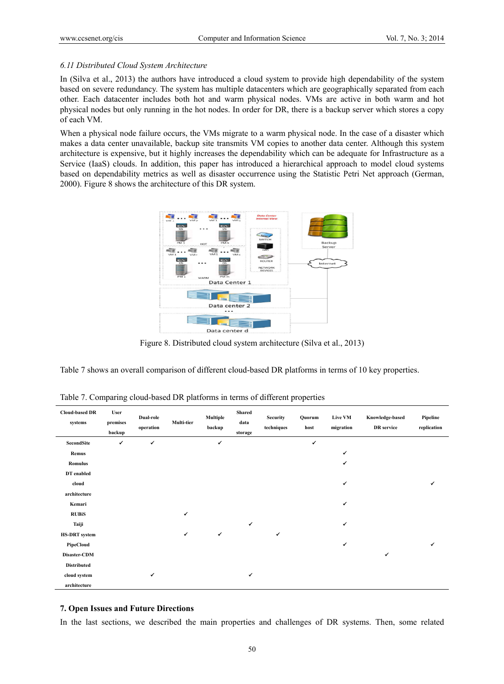### *6.11 Distributed Cloud System Architecture*

In (Silva et al., 2013) the authors have introduced a cloud system to provide high dependability of the system based on severe redundancy. The system has multiple datacenters which are geographically separated from each other. Each datacenter includes both hot and warm physical nodes. VMs are active in both warm and hot physical nodes but only running in the hot nodes. In order for DR, there is a backup server which stores a copy of each VM.

When a physical node failure occurs, the VMs migrate to a warm physical node. In the case of a disaster which makes a data center unavailable, backup site transmits VM copies to another data center. Although this system architecture is expensive, but it highly increases the dependability which can be adequate for Infrastructure as a Service (IaaS) clouds. In addition, this paper has introduced a hierarchical approach to model cloud systems based on dependability metrics as well as disaster occurrence using the Statistic Petri Net approach (German, 2000). Figure 8 shows the architecture of this DR system.



Figure 8. Distributed cloud system architecture (Silva et al., 2013)

Table 7 shows an overall comparison of different cloud-based DR platforms in terms of 10 key properties.

| <b>Cloud-based DR</b><br>systems | User<br>premises<br>backup | Dual-role<br>operation | Multi-tier | Multiple<br>backup | Shared<br>data<br>storage | <b>Security</b><br>techniques | Quorum<br>host | <b>Live VM</b><br>migration | Knowledge-based<br>DR service | Pipeline<br>replication |
|----------------------------------|----------------------------|------------------------|------------|--------------------|---------------------------|-------------------------------|----------------|-----------------------------|-------------------------------|-------------------------|
| SecondSite                       | $\checkmark$               | $\checkmark$           |            | ✔                  |                           |                               | ✓              |                             |                               |                         |
| Remus                            |                            |                        |            |                    |                           |                               |                | ✔                           |                               |                         |
| Romulus                          |                            |                        |            |                    |                           |                               |                | ✔                           |                               |                         |
| DT enabled                       |                            |                        |            |                    |                           |                               |                |                             |                               |                         |
| cloud                            |                            |                        |            |                    |                           |                               |                | ✔                           |                               |                         |
| architecture                     |                            |                        |            |                    |                           |                               |                |                             |                               |                         |
| Kemari                           |                            |                        |            |                    |                           |                               |                | ✔                           |                               |                         |
| <b>RUBIS</b>                     |                            |                        | ✔          |                    |                           |                               |                |                             |                               |                         |
| Taiji                            |                            |                        |            |                    | ✔                         |                               |                | ✔                           |                               |                         |
| <b>HS-DRT</b> system             |                            |                        | ✓          | $\checkmark$       |                           | ✔                             |                |                             |                               |                         |
| PipeCloud                        |                            |                        |            |                    |                           |                               |                | ✔                           |                               |                         |
| Disaster-CDM                     |                            |                        |            |                    |                           |                               |                |                             | ✔                             |                         |
| <b>Distributed</b>               |                            |                        |            |                    |                           |                               |                |                             |                               |                         |
| cloud system                     |                            | ✔                      |            |                    | ✔                         |                               |                |                             |                               |                         |
| architecture                     |                            |                        |            |                    |                           |                               |                |                             |                               |                         |

Table 7. Comparing cloud-based DR platforms in terms of different properties

#### **7. Open Issues and Future Directions**

In the last sections, we described the main properties and challenges of DR systems. Then, some related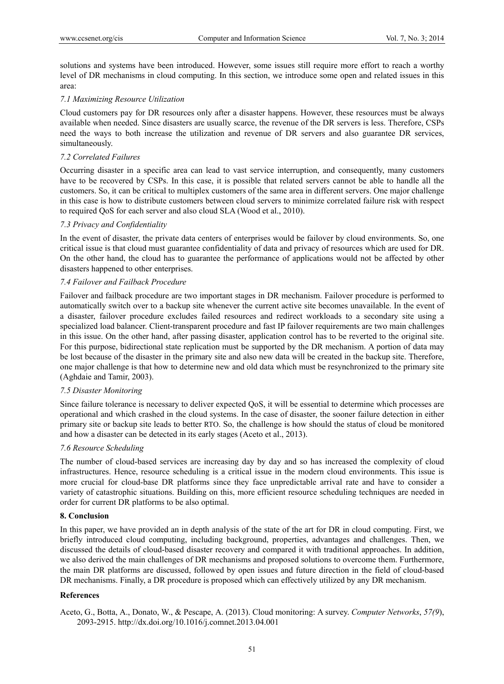solutions and systems have been introduced. However, some issues still require more effort to reach a worthy level of DR mechanisms in cloud computing. In this section, we introduce some open and related issues in this area:

### *7.1 Maximizing Resource Utilization*

Cloud customers pay for DR resources only after a disaster happens. However, these resources must be always available when needed. Since disasters are usually scarce, the revenue of the DR servers is less. Therefore, CSPs need the ways to both increase the utilization and revenue of DR servers and also guarantee DR services, simultaneously.

# *7.2 Correlated Failures*

Occurring disaster in a specific area can lead to vast service interruption, and consequently, many customers have to be recovered by CSPs. In this case, it is possible that related servers cannot be able to handle all the customers. So, it can be critical to multiplex customers of the same area in different servers. One major challenge in this case is how to distribute customers between cloud servers to minimize correlated failure risk with respect to required QoS for each server and also cloud SLA (Wood et al., 2010).

# *7.3 Privacy and Confidentiality*

In the event of disaster, the private data centers of enterprises would be failover by cloud environments. So, one critical issue is that cloud must guarantee confidentiality of data and privacy of resources which are used for DR. On the other hand, the cloud has to guarantee the performance of applications would not be affected by other disasters happened to other enterprises.

# *7.4 Failover and Failback Procedure*

Failover and failback procedure are two important stages in DR mechanism. Failover procedure is performed to automatically switch over to a backup site whenever the current active site becomes unavailable. In the event of a disaster, failover procedure excludes failed resources and redirect workloads to a secondary site using a specialized load balancer. Client-transparent procedure and fast IP failover requirements are two main challenges in this issue. On the other hand, after passing disaster, application control has to be reverted to the original site. For this purpose, bidirectional state replication must be supported by the DR mechanism. A portion of data may be lost because of the disaster in the primary site and also new data will be created in the backup site. Therefore, one major challenge is that how to determine new and old data which must be resynchronized to the primary site (Aghdaie and Tamir, 2003).

#### *7.5 Disaster Monitoring*

Since failure tolerance is necessary to deliver expected QoS, it will be essential to determine which processes are operational and which crashed in the cloud systems. In the case of disaster, the sooner failure detection in either primary site or backup site leads to better RTO. So, the challenge is how should the status of cloud be monitored and how a disaster can be detected in its early stages (Aceto et al., 2013).

#### *7.6 Resource Scheduling*

The number of cloud-based services are increasing day by day and so has increased the complexity of cloud infrastructures. Hence, resource scheduling is a critical issue in the modern cloud environments. This issue is more crucial for cloud-base DR platforms since they face unpredictable arrival rate and have to consider a variety of catastrophic situations. Building on this, more efficient resource scheduling techniques are needed in order for current DR platforms to be also optimal.

# **8. Conclusion**

In this paper, we have provided an in depth analysis of the state of the art for DR in cloud computing. First, we briefly introduced cloud computing, including background, properties, advantages and challenges. Then, we discussed the details of cloud-based disaster recovery and compared it with traditional approaches. In addition, we also derived the main challenges of DR mechanisms and proposed solutions to overcome them. Furthermore, the main DR platforms are discussed, followed by open issues and future direction in the field of cloud-based DR mechanisms. Finally, a DR procedure is proposed which can effectively utilized by any DR mechanism.

### **References**

Aceto, G., Botta, A., Donato, W., & Pescape, A. (2013). Cloud monitoring: A survey. *Computer Networks*, *57(9*), 2093-2915. http://dx.doi.org/10.1016/j.comnet.2013.04.001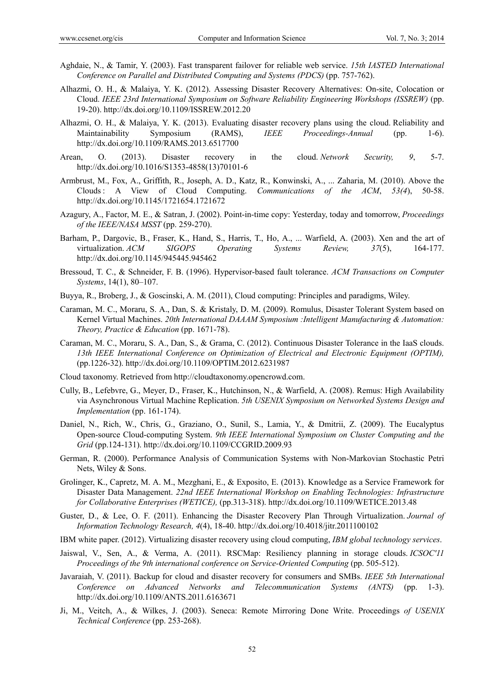- Aghdaie, N., & Tamir, Y. (2003). Fast transparent failover for reliable web service. *15th IASTED International Conference on Parallel and Distributed Computing and Systems (PDCS)* (pp. 757-762).
- Alhazmi, O. H., & Malaiya, Y. K. (2012). Assessing Disaster Recovery Alternatives: On-site, Colocation or Cloud. *IEEE 23rd International Symposium on Software Reliability Engineering Workshops (ISSREW)* (pp. 19-20). http://dx.doi.org/10.1109/ISSREW.2012.20
- Alhazmi, O. H., & Malaiya, Y. K. (2013). Evaluating disaster recovery plans using the cloud. Reliability and Maintainability Symposium (RAMS), *IEEE Proceedings-Annual* (pp. 1-6). http://dx.doi.org/10.1109/RAMS.2013.6517700
- Arean, O. (2013). Disaster recovery in the cloud. *Network Security, 9*, 5-7. http://dx.doi.org/10.1016/S1353-4858(13)70101-6
- Armbrust, M., Fox, A., Griffith, R., Joseph, A. D., Katz, R., Konwinski, A., ... Zaharia, M. (2010). Above the Clouds : A View of Cloud Computing. *Communications of the ACM*, *53(4*), 50-58. http://dx.doi.org/10.1145/1721654.1721672
- Azagury, A., Factor, M. E., & Satran, J. (2002). Point-in-time copy: Yesterday, today and tomorrow, *Proceedings of the IEEE/NASA MSST* (pp. 259-270).
- Barham, P., Dargovic, B., Fraser, K., Hand, S., Harris, T., Ho, A., ... Warfield, A. (2003). Xen and the art of virtualization. *ACM SIGOPS Operating Systems Review, 37*(5), 164-177. http://dx.doi.org/10.1145/945445.945462
- Bressoud, T. C., & Schneider, F. B. (1996). Hypervisor-based fault tolerance. *ACM Transactions on Computer Systems*, 14(1), 80–107.
- Buyya, R., Broberg, J., & Goscinski, A. M. (2011), Cloud computing: Principles and paradigms, Wiley.
- Caraman, M. C., Moraru, S. A., Dan, S. & Kristaly, D. M. (2009). Romulus, Disaster Tolerant System based on Kernel Virtual Machines. *20th International DAAAM Symposium :Intelligent Manufacturing & Automation: Theory, Practice & Education* (pp. 1671-78).
- Caraman, M. C., Moraru, S. A., Dan, S., & Grama, C. (2012). Continuous Disaster Tolerance in the IaaS clouds. *13th IEEE International Conference on Optimization of Electrical and Electronic Equipment (OPTIM),* (pp.1226-32). http://dx.doi.org/10.1109/OPTIM.2012.6231987
- Cloud taxonomy. Retrieved from http://cloudtaxonomy.opencrowd.com.
- Cully, B., Lefebvre, G., Meyer, D., Fraser, K., Hutchinson, N., & Warfield, A. (2008). Remus: High Availability via Asynchronous Virtual Machine Replication. *5th USENIX Symposium on Networked Systems Design and Implementation* (pp. 161-174).
- Daniel, N., Rich, W., Chris, G., Graziano, O., Sunil, S., Lamia, Y., & Dmitrii, Z. (2009). The Eucalyptus Open-source Cloud-computing System. *9th IEEE International Symposium on Cluster Computing and the Grid* (pp.124-131). http://dx.doi.org/10.1109/CCGRID.2009.93
- German, R. (2000). Performance Analysis of Communication Systems with Non-Markovian Stochastic Petri Nets, Wiley & Sons.
- Grolinger, K., Capretz, M. A. M., Mezghani, E., & Exposito, E. (2013). Knowledge as a Service Framework for Disaster Data Management. *22nd IEEE International Workshop on Enabling Technologies: Infrastructure for Collaborative Enterprises (WETICE),* (pp.313-318). http://dx.doi.org/10.1109/WETICE.2013.48
- Guster, D., & Lee, O. F. (2011). Enhancing the Disaster Recovery Plan Through Virtualization. *Journal of Information Technology Research, 4*(4), 18-40. http://dx.doi.org/10.4018/jitr.2011100102
- IBM white paper. (2012). Virtualizing disaster recovery using cloud computing, *IBM global technology services*.
- Jaiswal, V., Sen, A., & Verma, A. (2011). RSCMap: Resiliency planning in storage clouds. *ICSOC'11 Proceedings of the 9th international conference on Service-Oriented Computing* (pp. 505-512).
- Javaraiah, V. (2011). Backup for cloud and disaster recovery for consumers and SMBs. *IEEE 5th International Conference on Advanced Networks and Telecommunication Systems (ANTS)* (pp. 1-3). http://dx.doi.org/10.1109/ANTS.2011.6163671
- Ji, M., Veitch, A., & Wilkes, J. (2003). Seneca: Remote Mirroring Done Write. Proceedings *of USENIX Technical Conference* (pp. 253-268).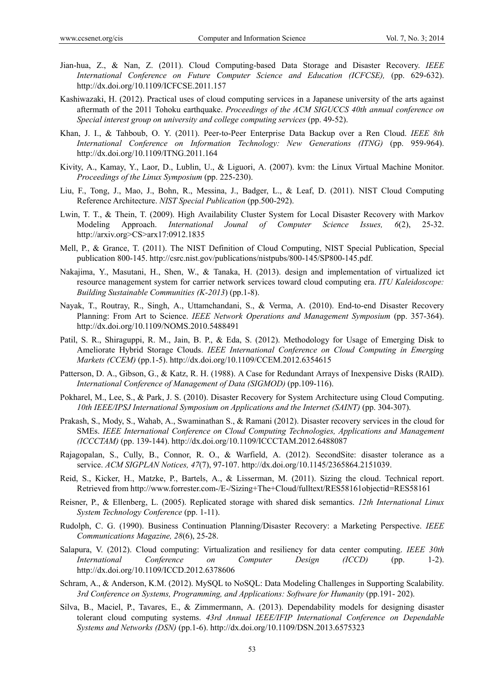- Jian-hua, Z., & Nan, Z. (2011). Cloud Computing-based Data Storage and Disaster Recovery. *IEEE International Conference on Future Computer Science and Education (ICFCSE),* (pp. 629-632). http://dx.doi.org/10.1109/ICFCSE.2011.157
- Kashiwazaki, H. (2012). Practical uses of cloud computing services in a Japanese university of the arts against aftermath of the 2011 Tohoku earthquake. *Proceedings of the ACM SIGUCCS 40th annual conference on Special interest group on university and college computing services* (pp. 49-52).
- Khan, J. I., & Tahboub, O. Y. (2011). Peer-to-Peer Enterprise Data Backup over a Ren Cloud. *IEEE 8th International Conference on Information Technology: New Generations (ITNG)* (pp. 959-964). http://dx.doi.org/10.1109/ITNG.2011.164
- Kivity, A., Kamay, Y., Laor, D., Lublin, U., & Liguori, A. (2007). kvm: the Linux Virtual Machine Monitor. *Proceedings of the Linux Symposium* (pp. 225-230).
- Liu, F., Tong, J., Mao, J., Bohn, R., Messina, J., Badger, L., & Leaf, D. (2011). NIST Cloud Computing Reference Architecture. *NIST Special Publication* (pp.500-292).
- Lwin, T. T., & Thein, T. (2009). High Availability Cluster System for Local Disaster Recovery with Markov Modeling Approach. *International Jounal of Computer Science Issues, 6*(2), 25-32. http://arxiv.org>CS>arx17:0912.1835
- Mell, P., & Grance, T. (2011). The NIST Definition of Cloud Computing, NIST Special Publication, Special publication 800-145. http://csrc.nist.gov/publications/nistpubs/800-145/SP800-145.pdf.
- Nakajima, Y., Masutani, H., Shen, W., & Tanaka, H. (2013). design and implementation of virtualized ict resource management system for carrier network services toward cloud computing era. *ITU Kaleidoscope: Building Sustainable Communities (K-2013*) (pp.1-8).
- Nayak, T., Routray, R., Singh, A., Uttamchandani, S., & Verma, A. (2010). End-to-end Disaster Recovery Planning: From Art to Science. *IEEE Network Operations and Management Symposium* (pp. 357-364). http://dx.doi.org/10.1109/NOMS.2010.5488491
- Patil, S. R., Shiraguppi, R. M., Jain, B. P., & Eda, S. (2012). Methodology for Usage of Emerging Disk to Ameliorate Hybrid Storage Clouds. *IEEE International Conference on Cloud Computing in Emerging Markets (CCEM)* (pp.1-5). http://dx.doi.org/10.1109/CCEM.2012.6354615
- Patterson, D. A., Gibson, G., & Katz, R. H. (1988). A Case for Redundant Arrays of Inexpensive Disks (RAID). *International Conference of Management of Data (SIGMOD)* (pp.109-116).
- Pokharel, M., Lee, S., & Park, J. S. (2010). Disaster Recovery for System Architecture using Cloud Computing. *10th IEEE/IPSJ International Symposium on Applications and the Internet (SAINT)* (pp. 304-307).
- Prakash, S., Mody, S., Wahab, A., Swaminathan S., & Ramani (2012). Disaster recovery services in the cloud for SMEs. *IEEE International Conference on Cloud Computing Technologies, Applications and Management (ICCCTAM)* (pp. 139-144). http://dx.doi.org/10.1109/ICCCTAM.2012.6488087
- Rajagopalan, S., Cully, B., Connor, R. O., & Warfield, A. (2012). SecondSite: disaster tolerance as a service. *ACM SIGPLAN Notices, 47*(7), 97-107. http://dx.doi.org/10.1145/2365864.2151039.
- Reid, S., Kicker, H., Matzke, P., Bartels, A., & Lisserman, M. (2011). Sizing the cloud. Technical report. Retrieved from http://www.forrester.com-/E-/Sizing+The+Cloud/fulltext/RES58161objectid=RES58161
- Reisner, P., & Ellenberg, L. (2005). Replicated storage with shared disk semantics. *12th International Linux System Technology Conference* (pp. 1-11).
- Rudolph, C. G. (1990). Business Continuation Planning/Disaster Recovery: a Marketing Perspective. *IEEE Communications Magazine, 28*(6), 25-28.
- Salapura, V. (2012). Cloud computing: Virtualization and resiliency for data center computing. *IEEE 30th International Conference on Computer Design (ICCD)* (pp. 1-2). http://dx.doi.org/10.1109/ICCD.2012.6378606
- Schram, A., & Anderson, K.M. (2012). MySQL to NoSQL: Data Modeling Challenges in Supporting Scalability. *3rd Conference on Systems, Programming, and Applications: Software for Humanity* (pp.191- 202).
- Silva, B., Maciel, P., Tavares, E., & Zimmermann, A. (2013). Dependability models for designing disaster tolerant cloud computing systems. *43rd Annual IEEE/IFIP International Conference on Dependable Systems and Networks (DSN)* (pp.1-6). http://dx.doi.org/10.1109/DSN.2013.6575323